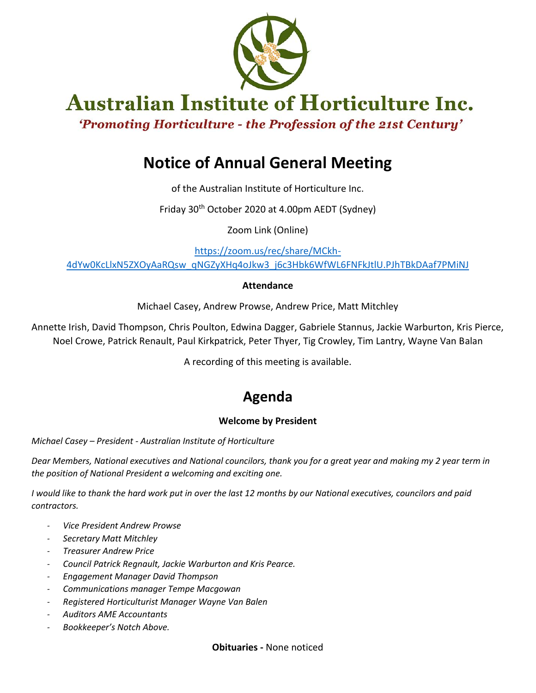

**Australian Institute of Horticulture Inc.** 

'Promoting Horticulture - the Profession of the 21st Century'

# **Notice of Annual General Meeting**

of the Australian Institute of Horticulture Inc.

Friday 30th October 2020 at 4.00pm AEDT (Sydney)

Zoom Link (Online)

[https://zoom.us/rec/share/MCkh-](https://zoom.us/rec/share/MCkh-4dYw0KcLlxN5ZXOyAaRQsw_qNGZyXHq4oJkw3_j6c3Hbk6WfWL6FNFkJtlU.PJhTBkDAaf7PMiNJ)[4dYw0KcLlxN5ZXOyAaRQsw\\_qNGZyXHq4oJkw3\\_j6c3Hbk6WfWL6FNFkJtlU.PJhTBkDAaf7PMiNJ](https://zoom.us/rec/share/MCkh-4dYw0KcLlxN5ZXOyAaRQsw_qNGZyXHq4oJkw3_j6c3Hbk6WfWL6FNFkJtlU.PJhTBkDAaf7PMiNJ)

# **Attendance**

Michael Casey, Andrew Prowse, Andrew Price, Matt Mitchley

Annette Irish, David Thompson, Chris Poulton, Edwina Dagger, Gabriele Stannus, Jackie Warburton, Kris Pierce, Noel Crowe, Patrick Renault, Paul Kirkpatrick, Peter Thyer, Tig Crowley, Tim Lantry, Wayne Van Balan

A recording of this meeting is available.

# **Agenda**

# **Welcome by President**

*Michael Casey – President - Australian Institute of Horticulture*

*Dear Members, National executives and National councilors, thank you for a great year and making my 2 year term in the position of National President a welcoming and exciting one.*

*I would like to thank the hard work put in over the last 12 months by our National executives, councilors and paid contractors.*

- *Vice President Andrew Prowse*
- *Secretary Matt Mitchley*
- *Treasurer Andrew Price*
- *Council Patrick Regnault, Jackie Warburton and Kris Pearce.*
- *Engagement Manager David Thompson*
- *Communications manager Tempe Macgowan*
- *Registered Horticulturist Manager Wayne Van Balen*
- *Auditors AME Accountants*
- *Bookkeeper's Notch Above.*

#### **Obituaries -** None noticed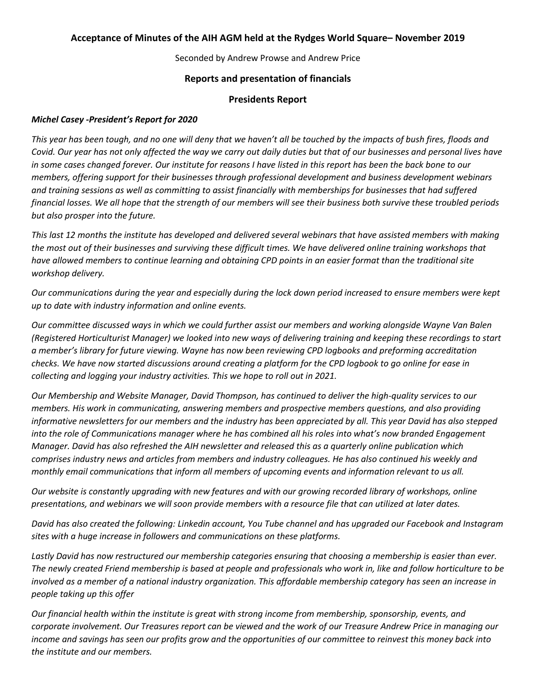### **Acceptance of Minutes of the AIH AGM held at the Rydges World Square– November 2019**

Seconded by Andrew Prowse and Andrew Price

#### **Reports and presentation of financials**

#### **Presidents Report**

#### *Michel Casey -President's Report for 2020*

*This year has been tough, and no one will deny that we haven't all be touched by the impacts of bush fires, floods and Covid. Our year has not only affected the way we carry out daily duties but that of our businesses and personal lives have in some cases changed forever. Our institute for reasons I have listed in this report has been the back bone to our members, offering support for their businesses through professional development and business development webinars and training sessions as well as committing to assist financially with memberships for businesses that had suffered financial losses. We all hope that the strength of our members will see their business both survive these troubled periods but also prosper into the future.*

*This last 12 months the institute has developed and delivered several webinars that have assisted members with making the most out of their businesses and surviving these difficult times. We have delivered online training workshops that have allowed members to continue learning and obtaining CPD points in an easier format than the traditional site workshop delivery.* 

*Our communications during the year and especially during the lock down period increased to ensure members were kept up to date with industry information and online events.*

*Our committee discussed ways in which we could further assist our members and working alongside Wayne Van Balen (Registered Horticulturist Manager) we looked into new ways of delivering training and keeping these recordings to start a member's library for future viewing. Wayne has now been reviewing CPD logbooks and preforming accreditation checks. We have now started discussions around creating a platform for the CPD logbook to go online for ease in collecting and logging your industry activities. This we hope to roll out in 2021.*

*Our Membership and Website Manager, David Thompson, has continued to deliver the high-quality services to our members. His work in communicating, answering members and prospective members questions, and also providing informative newsletters for our members and the industry has been appreciated by all. This year David has also stepped into the role of Communications manager where he has combined all his roles into what's now branded Engagement Manager. David has also refreshed the AIH newsletter and released this as a quarterly online publication which comprises industry news and articles from members and industry colleagues. He has also continued his weekly and monthly email communications that inform all members of upcoming events and information relevant to us all.*

*Our website is constantly upgrading with new features and with our growing recorded library of workshops, online presentations, and webinars we will soon provide members with a resource file that can utilized at later dates.*

*David has also created the following: Linkedin account, You Tube channel and has upgraded our Facebook and Instagram sites with a huge increase in followers and communications on these platforms.*

*Lastly David has now restructured our membership categories ensuring that choosing a membership is easier than ever. The newly created Friend membership is based at people and professionals who work in, like and follow horticulture to be involved as a member of a national industry organization. This affordable membership category has seen an increase in people taking up this offer*

*Our financial health within the institute is great with strong income from membership, sponsorship, events, and corporate involvement. Our Treasures report can be viewed and the work of our Treasure Andrew Price in managing our income and savings has seen our profits grow and the opportunities of our committee to reinvest this money back into the institute and our members.*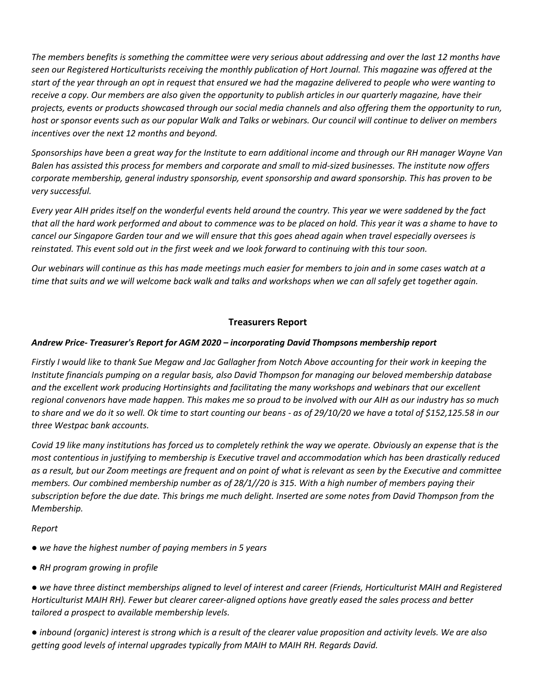*The members benefits is something the committee were very serious about addressing and over the last 12 months have seen our Registered Horticulturists receiving the monthly publication of Hort Journal. This magazine was offered at the start of the year through an opt in request that ensured we had the magazine delivered to people who were wanting to receive a copy. Our members are also given the opportunity to publish articles in our quarterly magazine, have their projects, events or products showcased through our social media channels and also offering them the opportunity to run, host or sponsor events such as our popular Walk and Talks or webinars. Our council will continue to deliver on members incentives over the next 12 months and beyond.*

*Sponsorships have been a great way for the Institute to earn additional income and through our RH manager Wayne Van Balen has assisted this process for members and corporate and small to mid-sized businesses. The institute now offers corporate membership, general industry sponsorship, event sponsorship and award sponsorship. This has proven to be very successful.*

*Every year AIH prides itself on the wonderful events held around the country. This year we were saddened by the fact that all the hard work performed and about to commence was to be placed on hold. This year it was a shame to have to cancel our Singapore Garden tour and we will ensure that this goes ahead again when travel especially oversees is reinstated. This event sold out in the first week and we look forward to continuing with this tour soon.*

*Our webinars will continue as this has made meetings much easier for members to join and in some cases watch at a time that suits and we will welcome back walk and talks and workshops when we can all safely get together again.*

#### **Treasurers Report**

#### *Andrew Price- Treasurer's Report for AGM 2020 – incorporating David Thompsons membership report*

*Firstly I would like to thank Sue Megaw and Jac Gallagher from Notch Above accounting for their work in keeping the Institute financials pumping on a regular basis, also David Thompson for managing our beloved membership database and the excellent work producing Hortinsights and facilitating the many workshops and webinars that our excellent regional convenors have made happen. This makes me so proud to be involved with our AIH as our industry has so much to share and we do it so well. Ok time to start counting our beans - as of 29/10/20 we have a total of \$152,125.58 in our three Westpac bank accounts.*

*Covid 19 like many institutions has forced us to completely rethink the way we operate. Obviously an expense that is the most contentious in justifying to membership is Executive travel and accommodation which has been drastically reduced as a result, but our Zoom meetings are frequent and on point of what is relevant as seen by the Executive and committee members. Our combined membership number as of 28/1//20 is 315. With a high number of members paying their subscription before the due date. This brings me much delight. Inserted are some notes from David Thompson from the Membership.* 

#### *Report*

- *we have the highest number of paying members in 5 years*
- *RH program growing in profile*

*● we have three distinct memberships aligned to level of interest and career (Friends, Horticulturist MAIH and Registered Horticulturist MAIH RH). Fewer but clearer career-aligned options have greatly eased the sales process and better tailored a prospect to available membership levels.*

*● inbound (organic) interest is strong which is a result of the clearer value proposition and activity levels. We are also getting good levels of internal upgrades typically from MAIH to MAIH RH. Regards David.*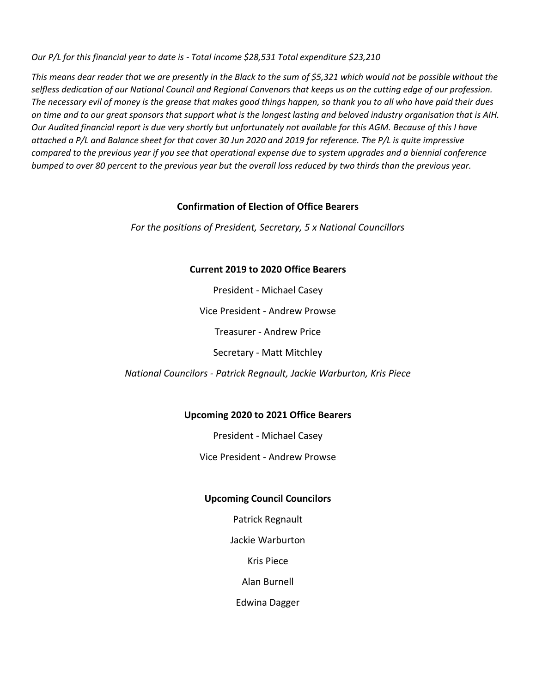*Our P/L for this financial year to date is - Total income \$28,531 Total expenditure \$23,210*

*This means dear reader that we are presently in the Black to the sum of \$5,321 which would not be possible without the selfless dedication of our National Council and Regional Convenors that keeps us on the cutting edge of our profession. The necessary evil of money is the grease that makes good things happen, so thank you to all who have paid their dues on time and to our great sponsors that support what is the longest lasting and beloved industry organisation that is AIH. Our Audited financial report is due very shortly but unfortunately not available for this AGM. Because of this I have attached a P/L and Balance sheet for that cover 30 Jun 2020 and 2019 for reference. The P/L is quite impressive compared to the previous year if you see that operational expense due to system upgrades and a biennial conference bumped to over 80 percent to the previous year but the overall loss reduced by two thirds than the previous year.*

# **Confirmation of Election of Office Bearers**

*For the positions of President, Secretary, 5 x National Councillors*

# **Current 2019 to 2020 Office Bearers**

President - Michael Casey

Vice President - Andrew Prowse

Treasurer - Andrew Price

Secretary - Matt Mitchley

*National Councilors - Patrick Regnault, Jackie Warburton, Kris Piece*

#### **Upcoming 2020 to 2021 Office Bearers**

President - Michael Casey

Vice President - Andrew Prowse

# **Upcoming Council Councilors**

Patrick Regnault

Jackie Warburton

Kris Piece

Alan Burnell

Edwina Dagger